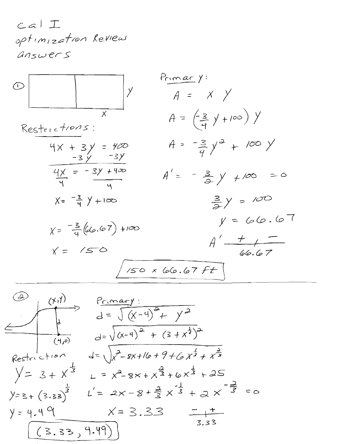$calA$ optimization Review answers



$$
\begin{array}{|c|c|c|c|}\n\hline\n\text{(a)} & \text{(b)} \\
\hline\n\text{(c)} & d = \sqrt{(x-4)^2 + y^2} \\
\hline\n\text{(d)} & d = \sqrt{(x-4)^2 + (3+x^2)^2} \\
\hline\n\text{(e)} & d = \sqrt{(x-4)^2 + (3+x^2)^2} \\
\hline\n\text{(f)} & d = \sqrt{x^2 - 8x + 16 + 9 + 6x^2 + x^2} \\
\hline\n\text{(e)} & d = \sqrt{x^2 - 8x + 16 + 9 + 6x^2 + x^2} \\
\hline\n\text{(f)} & d = 2x - 8 + \frac{a}{3}x^2 + 6x^3 + 25 \\
\hline\n\text{(g)} & d = 2x - 8 + \frac{a}{3}x^3 + a \times \frac{a}{3} \\
\hline\n\text{(h)} & d = 3.33 \\
\hline\n\text{(i)} & d = 3.33 \\
\hline\n\text{(ii)} & d = 3.33 \\
\hline\n\text{(ii)} & d = 3.33 \\
\hline\n\text{(b)} & d = 3.33 \\
\hline\n\text{(c)} & d = 3.33 \\
\hline\n\text{(d)} & d = 3.33 \\
\hline\n\text{(e)} & d = 3.33 \\
\hline\n\text{(f)} & d = 3.33 \\
\hline\n\text{(h)} & d = 3.33 \\
\hline\n\text{(i)} & d = 3.33 \\
\hline\n\text{(ii)} & d = 3.33 \\
\hline\n\text{(ii)} & d = 3.33 \\
\hline\n\text{(iv)} & d = 3.33 \\
\hline\n\text{(v)} & d = 3.33 \\
\hline\n\text{(v)} & d = 3.33 \\
\hline\n\text{(v)} & d = 3.33 \\
\hline\n\text{(v)} & d = 3.33 \\
\hline\n\text{(v)} & d = 3.33 \\
\hline\n\text{(h)} & d = 3.33 \\
\hline\n\text{(i)} & d = 3.33 \\
\hline\n\text{(ii)} & d = 3.33 \\
\hline\n\text{(ii)} & d = 3.33 \\
\hline\n\
$$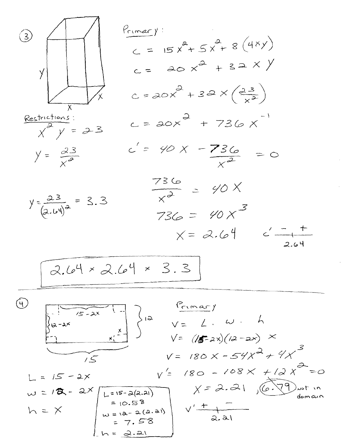3) 
$$
\sqrt{\frac{P_{1} \text{max}}{C}} = 15x^{2} + 5x^{3} + 8(4x)
$$
  
\n $C = 20x^{2} + 32x(2x^{3})$   
\n $\sqrt{x^{2}y^{2}} = 3$   
\n $\sqrt{25x^{2}}$   
\n $\sqrt{25x^{2}}$   
\n $\sqrt{25x^{2}}$   
\n $\sqrt{25x^{2}}$   
\n $\sqrt{25x^{2}}$   
\n $\sqrt{25x^{2}}$   
\n $\sqrt{25x^{2}}$   
\n $\sqrt{25x^{2}}$   
\n $\sqrt{25x^{2}}$   
\n $\sqrt{25x^{2}}$   
\n $\sqrt{25x^{2}}$   
\n $\sqrt{25x^{2}}$   
\n $\sqrt{25x^{2}}$   
\n $\sqrt{25x^{2}}$   
\n $\sqrt{25x^{2}}$   
\n $\sqrt{25x^{2}}$   
\n $\sqrt{25x^{2}}$   
\n $\sqrt{25x^{2}}$   
\n $\sqrt{25x^{2}}$   
\n $\sqrt{25x^{2}}$   
\n $\sqrt{25x^{2}}$   
\n $\sqrt{25x^{2}}$   
\n $\sqrt{25x^{2}}$   
\n $\sqrt{25x^{2}}$   
\n $\sqrt{25x^{2}}$   
\n $\sqrt{25x^{2}}$   
\n $\sqrt{25x^{2}}$   
\n $\sqrt{25x^{2}}$   
\n $\sqrt{25x^{2}}$   
\n $\sqrt{25x^{2}}$   
\n $\sqrt{25x^{2}}$   
\n $\sqrt{25x^{2}}$   
\n $\sqrt{25x^{2}}$   
\n $\sqrt{25x^{2}}$   
\n $\sqrt{25x^{2}}$   
\n $\sqrt{25x^{2}}$   
\n $\sqrt{25x^{2}}$   
\n $\sqrt{25x^{2}}$   
\n $\sqrt{25x^{2}}$   
\n $\sqrt{25x^{2}}$   
\n $\sqrt{25x^{2}}$   
\n $\sqrt{25x^{2}}$ 

 $\mathcal{L}_{\mathcal{A}}$ 

 $\mathcal{L}_{\mathcal{A}}$ 

 $\mathcal{L}^{\text{max}}$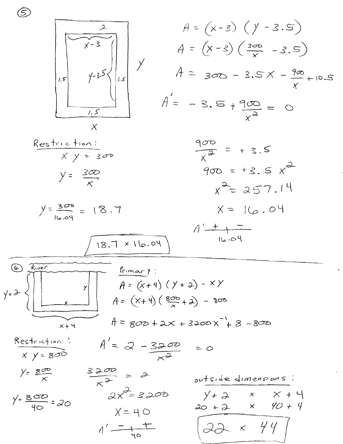

 $\widehat{\mathbb{S}}$ 

$$
A = (x - 3) (y - 3.5)
$$
  
\n
$$
A = (x - 3) (\frac{300}{x} - 3.5)
$$
  
\n
$$
A = 300 - 3.5x - \frac{900}{x} + 10.5
$$
  
\n
$$
A = -3.5 + \frac{900}{x^{2}} = 0
$$



$$
18.7 \times 16.04
$$

$$
A' \xrightarrow{\phantom{a}+} \overline{16.04}
$$

$$
y+3
$$
\n
$$
y+3
$$
\n
$$
y+4
$$
\n
$$
y=1
$$
\n
$$
y=1
$$
\n
$$
y=1
$$
\n
$$
y=1
$$
\n
$$
y=1
$$
\n
$$
y=1
$$
\n
$$
y=1
$$
\n
$$
y=1
$$
\n
$$
y=1
$$
\n
$$
y=1
$$
\n
$$
y=1
$$
\n
$$
y=1
$$
\n
$$
y=1
$$
\n
$$
y=1
$$
\n
$$
y=1
$$
\n
$$
y=1
$$
\n
$$
y=1
$$
\n
$$
y=1
$$
\n
$$
y=1
$$
\n
$$
y=1
$$
\n
$$
y=1
$$
\n
$$
y=1
$$
\n
$$
y=1
$$
\n
$$
y=1
$$
\n
$$
y=1
$$
\n
$$
y=1
$$
\n
$$
y=1
$$
\n
$$
y=1
$$
\n
$$
y=1
$$
\n
$$
y=1
$$
\n
$$
y=1
$$
\n
$$
y=1
$$
\n
$$
y=1
$$
\n
$$
y=1
$$
\n
$$
y=1
$$
\n
$$
y=1
$$
\n
$$
y=1
$$
\n
$$
y=1
$$
\n
$$
y=1
$$
\n
$$
y=1
$$
\n
$$
y=1
$$
\n
$$
y=1
$$
\n
$$
y=1
$$
\n
$$
y=1
$$
\n
$$
y=1
$$
\n
$$
y=1
$$
\n
$$
y=1
$$
\n
$$
y=1
$$
\n
$$
y=1
$$
\n
$$
y=1
$$
\n
$$
y=1
$$
\n
$$
y=1
$$
\n
$$
y=1
$$
\n
$$
y=1
$$
\n
$$
y=1
$$
\n
$$
y=1
$$

$$
\frac{Restrichier}{x y=800} \qquad A'=\mathcal{Q}-\frac{3200}{x^{2}}=0
$$

y = 
$$
\frac{800}{x}
$$
  
\n $y = \frac{800}{40} = 20$   
\n $2x^2 = 3200$   
\n $x = 40$   
\n $y = 40$   
\n $y = 40$   
\n $y = 40$   
\n $y = 40$   
\n $y = 40$   
\n $y = 40$   
\n $y = 40$   
\n $y = 40$   
\n $y = 40$   
\n $y = 40$   
\n $y = 40$   
\n $y = 40$   
\n $y = 40$   
\n $y = 40$   
\n $y = 40$   
\n $y = 40$   
\n $y = 40$   
\n $y = 40$   
\n $y = 40$